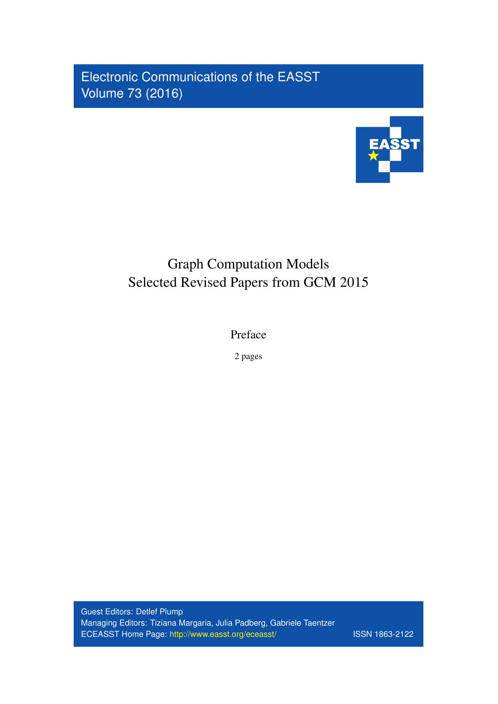Electronic Communications of the EASST Volume 73 (2016)



## Graph Computation Models Selected Revised Papers from GCM 2015

Preface

2 pages

Guest Editors: Detlef Plump Managing Editors: Tiziana Margaria, Julia Padberg, Gabriele Taentzer ECEASST Home Page: <http://www.easst.org/eceasst/> ISSN 1863-2122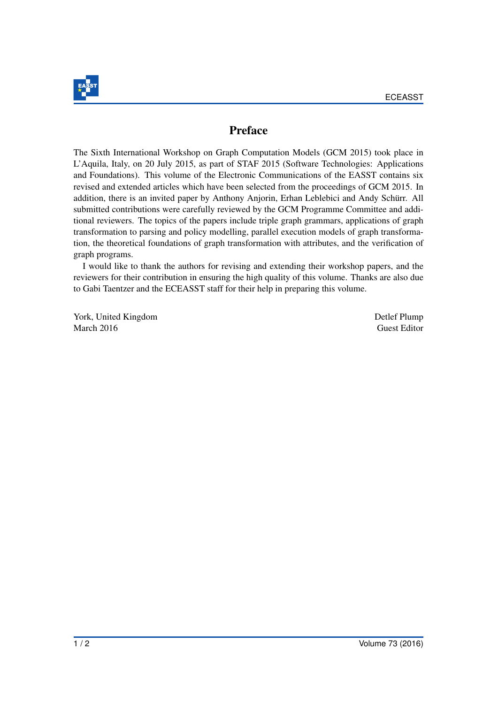

## Preface

The Sixth International Workshop on Graph Computation Models (GCM 2015) took place in L'Aquila, Italy, on 20 July 2015, as part of STAF 2015 (Software Technologies: Applications and Foundations). This volume of the Electronic Communications of the EASST contains six revised and extended articles which have been selected from the proceedings of GCM 2015. In addition, there is an invited paper by Anthony Anjorin, Erhan Leblebici and Andy Schürr. All submitted contributions were carefully reviewed by the GCM Programme Committee and additional reviewers. The topics of the papers include triple graph grammars, applications of graph transformation to parsing and policy modelling, parallel execution models of graph transformation, the theoretical foundations of graph transformation with attributes, and the verification of graph programs.

I would like to thank the authors for revising and extending their workshop papers, and the reviewers for their contribution in ensuring the high quality of this volume. Thanks are also due to Gabi Taentzer and the ECEASST staff for their help in preparing this volume.

York, United Kingdom Detlef Plump March 2016 Guest Editor Guest Editor Guest Editor Guest Editor Guest Editor Guest Editor Guest Editor Guest Editor Guest Editor Guest Editor Guest Editor Guest Editor Guest Editor Guest Editor Guest Editor Guest Editor Gue